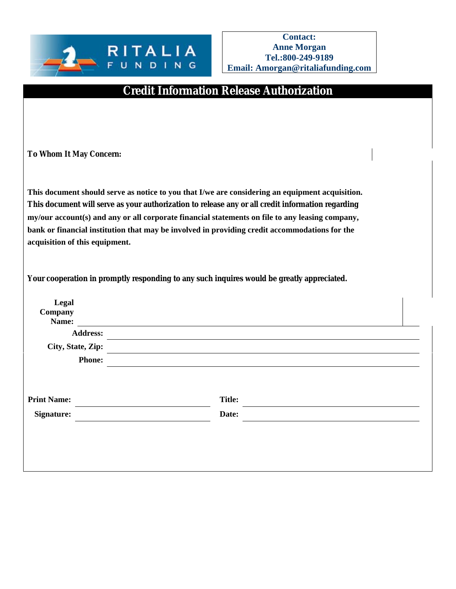

## **Credit Information Release Authorization**

**To Whom It May Concern:**

**This document should serve as notice to you that I/we are considering an equipment acquisition. This document will serve as your authorization to release any or all credit information regarding my/our account(s) and any or all corporate financial statements on file to any leasing company, bank or financial institution that may be involved in providing credit accommodations for the acquisition of this equipment.**

| Your cooperation in promptly responding to any such inquires would be greatly appreciated. |               |  |  |  |  |  |  |  |  |  |
|--------------------------------------------------------------------------------------------|---------------|--|--|--|--|--|--|--|--|--|
| Legal<br>Company<br>Name:                                                                  |               |  |  |  |  |  |  |  |  |  |
| <b>Address:</b>                                                                            |               |  |  |  |  |  |  |  |  |  |
| City, State, Zip:                                                                          |               |  |  |  |  |  |  |  |  |  |
| <b>Phone:</b>                                                                              |               |  |  |  |  |  |  |  |  |  |
|                                                                                            |               |  |  |  |  |  |  |  |  |  |
| <b>Print Name:</b>                                                                         | <b>Title:</b> |  |  |  |  |  |  |  |  |  |
| <b>Signature:</b>                                                                          | Date:         |  |  |  |  |  |  |  |  |  |
|                                                                                            |               |  |  |  |  |  |  |  |  |  |
|                                                                                            |               |  |  |  |  |  |  |  |  |  |
|                                                                                            |               |  |  |  |  |  |  |  |  |  |
|                                                                                            |               |  |  |  |  |  |  |  |  |  |